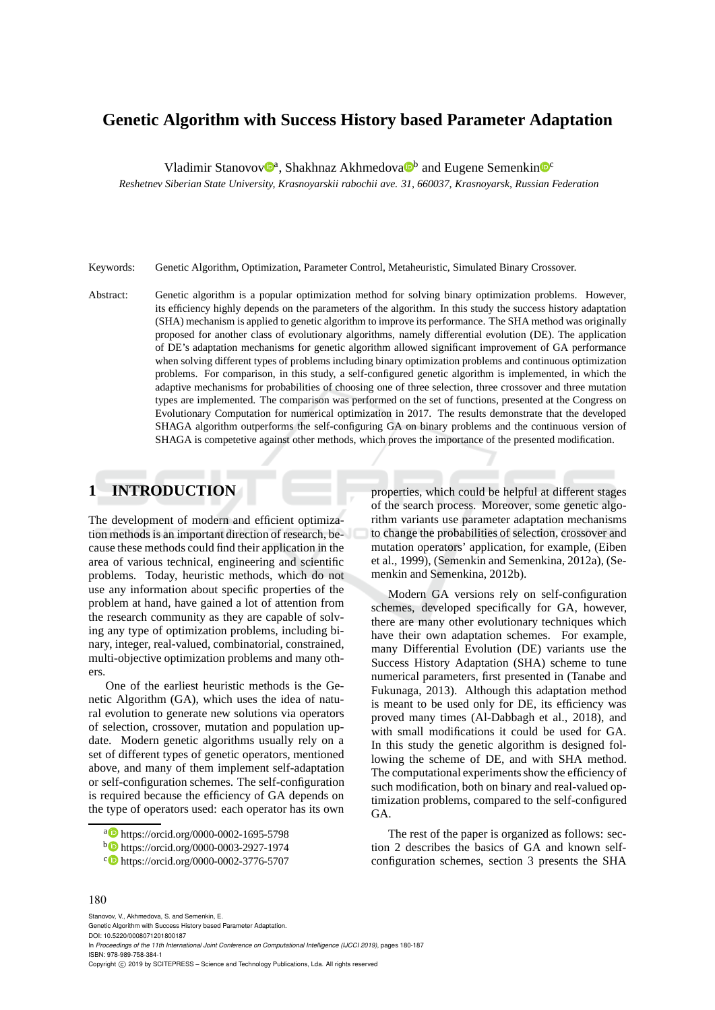# **Genetic Algorithm with Success History based Parameter Adaptation**

Vladimir Stanovov<sup>®</sup>, Shakhnaz Akhmedova<sup>®</sup> and Eugene Semenkin<sup>®</sup>

*Reshetnev Siberian State University, Krasnoyarskii rabochii ave. 31, 660037, Krasnoyarsk, Russian Federation*

Keywords: Genetic Algorithm, Optimization, Parameter Control, Metaheuristic, Simulated Binary Crossover.

Abstract: Genetic algorithm is a popular optimization method for solving binary optimization problems. However, its efficiency highly depends on the parameters of the algorithm. In this study the success history adaptation (SHA) mechanism is applied to genetic algorithm to improve its performance. The SHA method was originally proposed for another class of evolutionary algorithms, namely differential evolution (DE). The application of DE's adaptation mechanisms for genetic algorithm allowed significant improvement of GA performance when solving different types of problems including binary optimization problems and continuous optimization problems. For comparison, in this study, a self-configured genetic algorithm is implemented, in which the adaptive mechanisms for probabilities of choosing one of three selection, three crossover and three mutation types are implemented. The comparison was performed on the set of functions, presented at the Congress on Evolutionary Computation for numerical optimization in 2017. The results demonstrate that the developed SHAGA algorithm outperforms the self-configuring GA on binary problems and the continuous version of SHAGA is competetive against other methods, which proves the importance of the presented modification.

# **1 INTRODUCTION**

The development of modern and efficient optimization methods is an important direction of research, because these methods could find their application in the area of various technical, engineering and scientific problems. Today, heuristic methods, which do not use any information about specific properties of the problem at hand, have gained a lot of attention from the research community as they are capable of solving any type of optimization problems, including binary, integer, real-valued, combinatorial, constrained, multi-objective optimization problems and many others.

One of the earliest heuristic methods is the Genetic Algorithm (GA), which uses the idea of natural evolution to generate new solutions via operators of selection, crossover, mutation and population update. Modern genetic algorithms usually rely on a set of different types of genetic operators, mentioned above, and many of them implement self-adaptation or self-configuration schemes. The self-configuration is required because the efficiency of GA depends on the type of operators used: each operator has its own

properties, which could be helpful at different stages of the search process. Moreover, some genetic algorithm variants use parameter adaptation mechanisms to change the probabilities of selection, crossover and mutation operators' application, for example, (Eiben et al., 1999), (Semenkin and Semenkina, 2012a), (Semenkin and Semenkina, 2012b).

Modern GA versions rely on self-configuration schemes, developed specifically for GA, however, there are many other evolutionary techniques which have their own adaptation schemes. For example, many Differential Evolution (DE) variants use the Success History Adaptation (SHA) scheme to tune numerical parameters, first presented in (Tanabe and Fukunaga, 2013). Although this adaptation method is meant to be used only for DE, its efficiency was proved many times (Al-Dabbagh et al., 2018), and with small modifications it could be used for GA. In this study the genetic algorithm is designed following the scheme of DE, and with SHA method. The computational experiments show the efficiency of such modification, both on binary and real-valued optimization problems, compared to the self-configured GA.

The rest of the paper is organized as follows: section 2 describes the basics of GA and known selfconfiguration schemes, section 3 presents the SHA

#### 180

Stanovov, V., Akhmedova, S. and Semenkin, E. Genetic Algorithm with Success History based Parameter Adaptation. DOI: 10.5220/0008071201800187 In *Proceedings of the 11th International Joint Conference on Computational Intelligence (IJCCI 2019)*, pages 180-187 ISBN: 978-989-758-384-1

Copyright © 2019 by SCITEPRESS - Science and Technology Publications, Lda. All rights reserved

<sup>a</sup> https://orcid.org/0000-0002-1695-5798

<sup>b</sup> https://orcid.org/0000-0003-2927-1974

<sup>c</sup> https://orcid.org/0000-0002-3776-5707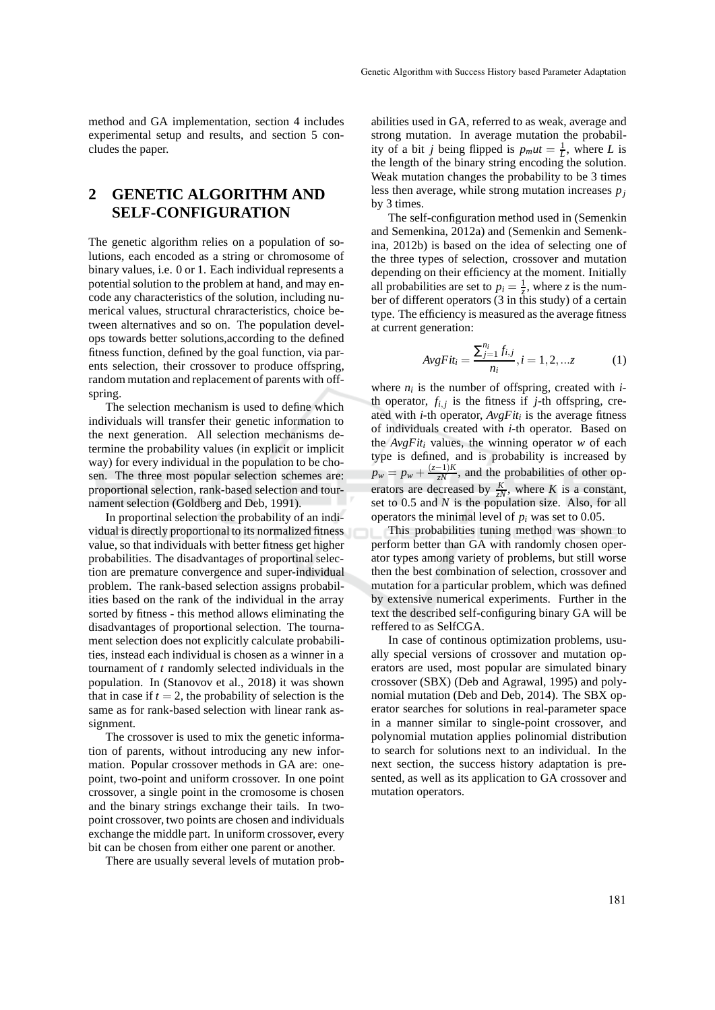method and GA implementation, section 4 includes experimental setup and results, and section 5 concludes the paper.

# **2 GENETIC ALGORITHM AND SELF-CONFIGURATION**

The genetic algorithm relies on a population of solutions, each encoded as a string or chromosome of binary values, i.e. 0 or 1. Each individual represents a potential solution to the problem at hand, and may encode any characteristics of the solution, including numerical values, structural chraracteristics, choice between alternatives and so on. The population develops towards better solutions,according to the defined fitness function, defined by the goal function, via parents selection, their crossover to produce offspring, random mutation and replacement of parents with offspring.

The selection mechanism is used to define which individuals will transfer their genetic information to the next generation. All selection mechanisms determine the probability values (in explicit or implicit way) for every individual in the population to be chosen. The three most popular selection schemes are: proportional selection, rank-based selection and tournament selection (Goldberg and Deb, 1991).

In proportinal selection the probability of an individual is directly proportional to its normalized fitness value, so that individuals with better fitness get higher probabilities. The disadvantages of proportinal selection are premature convergence and super-individual problem. The rank-based selection assigns probabilities based on the rank of the individual in the array sorted by fitness - this method allows eliminating the disadvantages of proportional selection. The tournament selection does not explicitly calculate probabilities, instead each individual is chosen as a winner in a tournament of *t* randomly selected individuals in the population. In (Stanovov et al., 2018) it was shown that in case if  $t = 2$ , the probability of selection is the same as for rank-based selection with linear rank assignment.

The crossover is used to mix the genetic information of parents, without introducing any new information. Popular crossover methods in GA are: onepoint, two-point and uniform crossover. In one point crossover, a single point in the cromosome is chosen and the binary strings exchange their tails. In twopoint crossover, two points are chosen and individuals exchange the middle part. In uniform crossover, every bit can be chosen from either one parent or another.

There are usually several levels of mutation prob-

abilities used in GA, referred to as weak, average and strong mutation. In average mutation the probability of a bit *j* being flipped is  $p_m ut = \frac{1}{L}$ , where *L* is the length of the binary string encoding the solution. Weak mutation changes the probability to be 3 times less then average, while strong mutation increases *p<sup>j</sup>* by 3 times.

The self-configuration method used in (Semenkin and Semenkina, 2012a) and (Semenkin and Semenkina, 2012b) is based on the idea of selecting one of the three types of selection, crossover and mutation depending on their efficiency at the moment. Initially all probabilities are set to  $p_i = \frac{1}{z}$ , where *z* is the number of different operators  $(3 \text{ in this study})$  of a certain type. The efficiency is measured as the average fitness at current generation:

$$
AvgFit_i = \frac{\sum_{j=1}^{n_i} f_{i,j}}{n_i}, i = 1, 2, \dots z \tag{1}
$$

where  $n_i$  is the number of offspring, created with  $i$ th operator,  $f_{i,j}$  is the fitness if  $j$ -th offspring, created with *i*-th operator, *AvgFit<sup>i</sup>* is the average fitness of individuals created with *i*-th operator. Based on the *AvgFit<sup>i</sup>* values, the winning operator *w* of each type is defined, and is probability is increased by  $p_w = p_w + \frac{(z-1)K}{zN}$ , and the probabilities of other operators are decreased by  $\frac{K}{zN}$ , where *K* is a constant, set to 0.5 and *N* is the population size. Also, for all operators the minimal level of  $p_i$  was set to 0.05.

This probabilities tuning method was shown to perform better than GA with randomly chosen operator types among variety of problems, but still worse then the best combination of selection, crossover and mutation for a particular problem, which was defined by extensive numerical experiments. Further in the text the described self-configuring binary GA will be reffered to as SelfCGA.

In case of continous optimization problems, usually special versions of crossover and mutation operators are used, most popular are simulated binary crossover (SBX) (Deb and Agrawal, 1995) and polynomial mutation (Deb and Deb, 2014). The SBX operator searches for solutions in real-parameter space in a manner similar to single-point crossover, and polynomial mutation applies polinomial distribution to search for solutions next to an individual. In the next section, the success history adaptation is presented, as well as its application to GA crossover and mutation operators.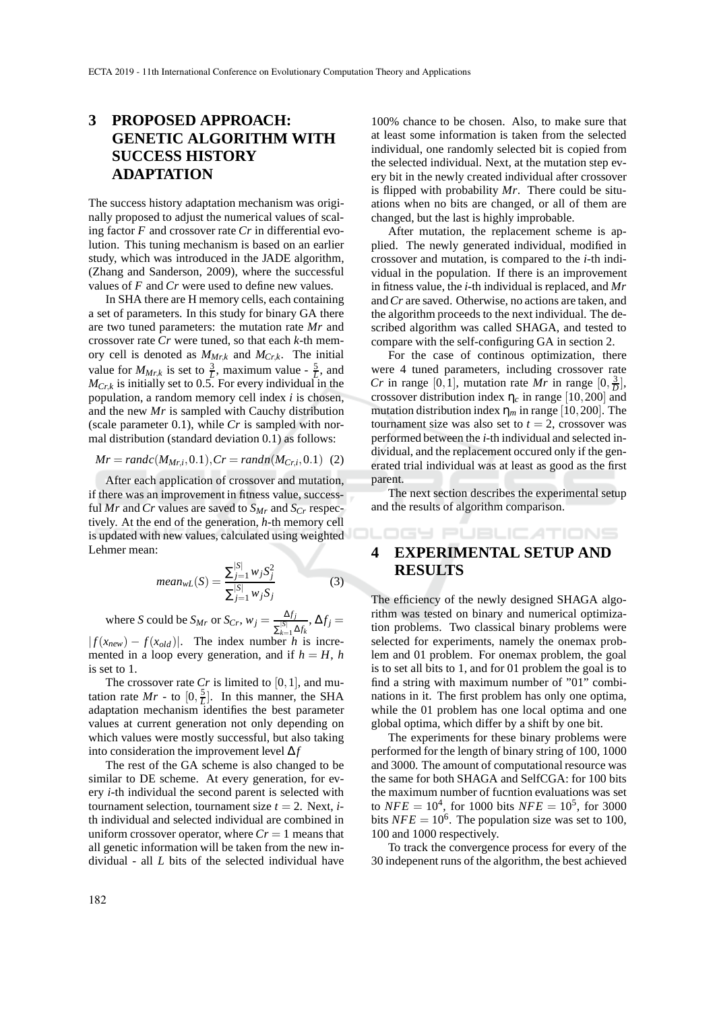## **3 PROPOSED APPROACH: GENETIC ALGORITHM WITH SUCCESS HISTORY ADAPTATION**

The success history adaptation mechanism was originally proposed to adjust the numerical values of scaling factor *F* and crossover rate *Cr* in differential evolution. This tuning mechanism is based on an earlier study, which was introduced in the JADE algorithm, (Zhang and Sanderson, 2009), where the successful values of *F* and *Cr* were used to define new values.

In SHA there are H memory cells, each containing a set of parameters. In this study for binary GA there are two tuned parameters: the mutation rate *Mr* and crossover rate *Cr* were tuned, so that each *k*-th memory cell is denoted as *MMr*,*<sup>k</sup>* and *MCr*,*k*. The initial value for  $M_{Mr,k}$  is set to  $\frac{3}{L}$ , maximum value  $-\frac{5}{L}$ , and  $M_{Cr, k}$  is initially set to 0.5. For every individual in the population, a random memory cell index *i* is chosen, and the new *Mr* is sampled with Cauchy distribution (scale parameter 0.1), while *Cr* is sampled with normal distribution (standard deviation 0.1) as follows:

$$
Mr = randc(M_{Mr,i}, 0.1), Cr = randn(M_{Cr,i}, 0.1) (2)
$$

After each application of crossover and mutation, if there was an improvement in fitness value, successful *Mr* and *Cr* values are saved to  $S_{Mr}$  and  $S_{Cr}$  respectively. At the end of the generation, *h*-th memory cell is updated with new values, calculated using weighted Lehmer mean:

$$
mean_{wL}(S) = \frac{\sum_{j=1}^{|S|} w_j S_j^2}{\sum_{j=1}^{|S|} w_j S_j}
$$
(3)

where *S* could be  $S_{Mr}$  or  $S_{Cr}$ ,  $w_j = \frac{\Delta f_j}{\sqrt{|S|}}$  $\frac{\Delta f_j}{\sum_{k=1}^{|S|} \Delta f_k}, \Delta f_j =$  $| f(x_{new}) - f(x_{old}) |$ . The index number *h* is incremented in a loop every generation, and if  $h = H$ , *h* is set to 1.

The crossover rate  $Cr$  is limited to [0,1], and mutation rate  $Mr -$  to  $[0, \frac{5}{L}]$ . In this manner, the SHA adaptation mechanism identifies the best parameter values at current generation not only depending on which values were mostly successful, but also taking into consideration the improvement level ∆*f*

The rest of the GA scheme is also changed to be similar to DE scheme. At every generation, for every *i*-th individual the second parent is selected with tournament selection, tournament size  $t = 2$ . Next, *i*th individual and selected individual are combined in uniform crossover operator, where  $Cr = 1$  means that all genetic information will be taken from the new individual - all *L* bits of the selected individual have

100% chance to be chosen. Also, to make sure that at least some information is taken from the selected individual, one randomly selected bit is copied from the selected individual. Next, at the mutation step every bit in the newly created individual after crossover is flipped with probability *Mr*. There could be situations when no bits are changed, or all of them are changed, but the last is highly improbable.

After mutation, the replacement scheme is applied. The newly generated individual, modified in crossover and mutation, is compared to the *i*-th individual in the population. If there is an improvement in fitness value, the *i*-th individual is replaced, and *Mr* and*Cr* are saved. Otherwise, no actions are taken, and the algorithm proceeds to the next individual. The described algorithm was called SHAGA, and tested to compare with the self-configuring GA in section 2.

For the case of continous optimization, there were 4 tuned parameters, including crossover rate *Cr* in range  $[0, 1]$ , mutation rate *Mr* in range  $[0, \frac{3}{D}]$ , crossover distribution index  $\eta_c$  in range [10,200] and mutation distribution index  $\eta_m$  in range [10,200]. The tournament size was also set to  $t = 2$ , crossover was performed between the *i*-th individual and selected individual, and the replacement occured only if the generated trial individual was at least as good as the first parent.

The next section describes the experimental setup and the results of algorithm comparison.

**IGY PUBLICATIONS** 

# **4 EXPERIMENTAL SETUP AND RESULTS**

The efficiency of the newly designed SHAGA algorithm was tested on binary and numerical optimization problems. Two classical binary problems were selected for experiments, namely the onemax problem and 01 problem. For onemax problem, the goal is to set all bits to 1, and for 01 problem the goal is to find a string with maximum number of "01" combinations in it. The first problem has only one optima, while the 01 problem has one local optima and one global optima, which differ by a shift by one bit.

The experiments for these binary problems were performed for the length of binary string of 100, 1000 and 3000. The amount of computational resource was the same for both SHAGA and SelfCGA: for 100 bits the maximum number of fucntion evaluations was set to  $NFE = 10^4$ , for 1000 bits  $NFE = 10^5$ , for 3000 bits  $NFE = 10^6$ . The population size was set to 100, 100 and 1000 respectively.

To track the convergence process for every of the 30 indepenent runs of the algorithm, the best achieved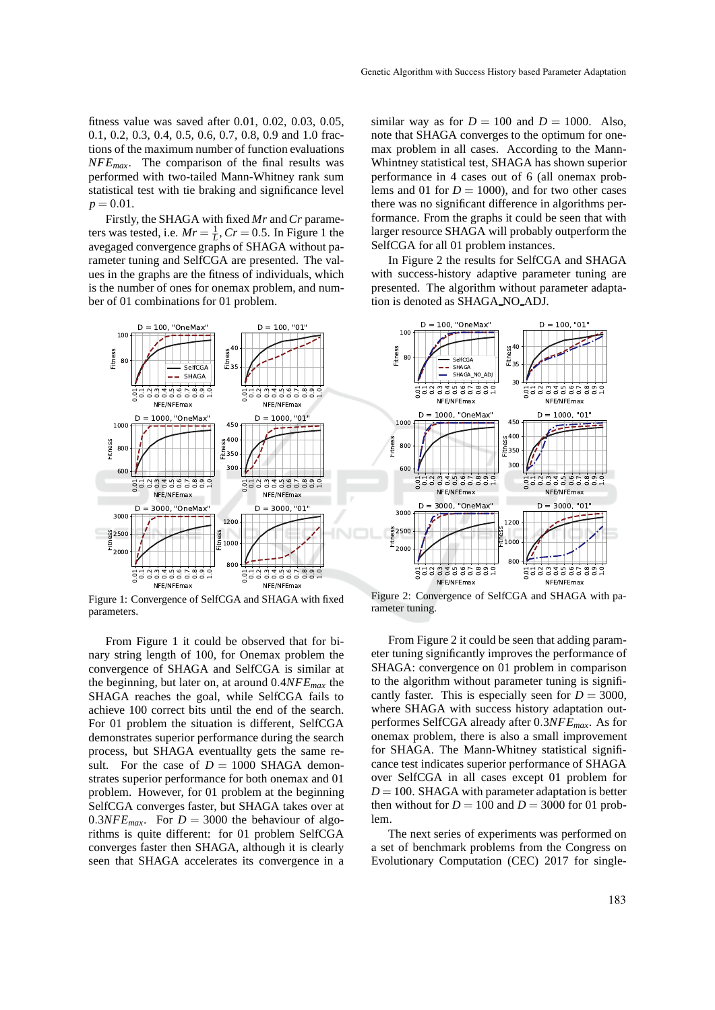fitness value was saved after 0.01, 0.02, 0.03, 0.05, 0.1, 0.2, 0.3, 0.4, 0.5, 0.6, 0.7, 0.8, 0.9 and 1.0 fractions of the maximum number of function evaluations *NFEmax*. The comparison of the final results was performed with two-tailed Mann-Whitney rank sum statistical test with tie braking and significance level  $p = 0.01$ .

Firstly, the SHAGA with fixed *Mr* and*Cr* parameters was tested, i.e.  $Mr = \frac{1}{L}$ ,  $Cr = 0.5$ . In Figure 1 the avegaged convergence graphs of SHAGA without parameter tuning and SelfCGA are presented. The values in the graphs are the fitness of individuals, which is the number of ones for onemax problem, and number of 01 combinations for 01 problem.



Figure 1: Convergence of SelfCGA and SHAGA with fixed parameters.

From Figure 1 it could be observed that for binary string length of 100, for Onemax problem the convergence of SHAGA and SelfCGA is similar at the beginning, but later on, at around 0.4*NFEmax* the SHAGA reaches the goal, while SelfCGA fails to achieve 100 correct bits until the end of the search. For 01 problem the situation is different, SelfCGA demonstrates superior performance during the search process, but SHAGA eventuallty gets the same result. For the case of  $D = 1000$  SHAGA demonstrates superior performance for both onemax and 01 problem. However, for 01 problem at the beginning SelfCGA converges faster, but SHAGA takes over at 0.3*NFE<sub>max</sub>*. For  $D = 3000$  the behaviour of algorithms is quite different: for 01 problem SelfCGA converges faster then SHAGA, although it is clearly seen that SHAGA accelerates its convergence in a

similar way as for  $D = 100$  and  $D = 1000$ . Also, note that SHAGA converges to the optimum for onemax problem in all cases. According to the Mann-Whintney statistical test, SHAGA has shown superior performance in 4 cases out of 6 (all onemax problems and 01 for  $D = 1000$ , and for two other cases there was no significant difference in algorithms performance. From the graphs it could be seen that with larger resource SHAGA will probably outperform the SelfCGA for all 01 problem instances.

In Figure 2 the results for SelfCGA and SHAGA with success-history adaptive parameter tuning are presented. The algorithm without parameter adaptation is denoted as SHAGA NO ADJ.



Figure 2: Convergence of SelfCGA and SHAGA with parameter tuning.

From Figure 2 it could be seen that adding parameter tuning significantly improves the performance of SHAGA: convergence on 01 problem in comparison to the algorithm without parameter tuning is significantly faster. This is especially seen for  $D = 3000$ , where SHAGA with success history adaptation outperformes SelfCGA already after 0.3*NFEmax*. As for onemax problem, there is also a small improvement for SHAGA. The Mann-Whitney statistical significance test indicates superior performance of SHAGA over SelfCGA in all cases except 01 problem for  $D = 100$ . SHAGA with parameter adaptation is better then without for  $D = 100$  and  $D = 3000$  for 01 problem.

The next series of experiments was performed on a set of benchmark problems from the Congress on Evolutionary Computation (CEC) 2017 for single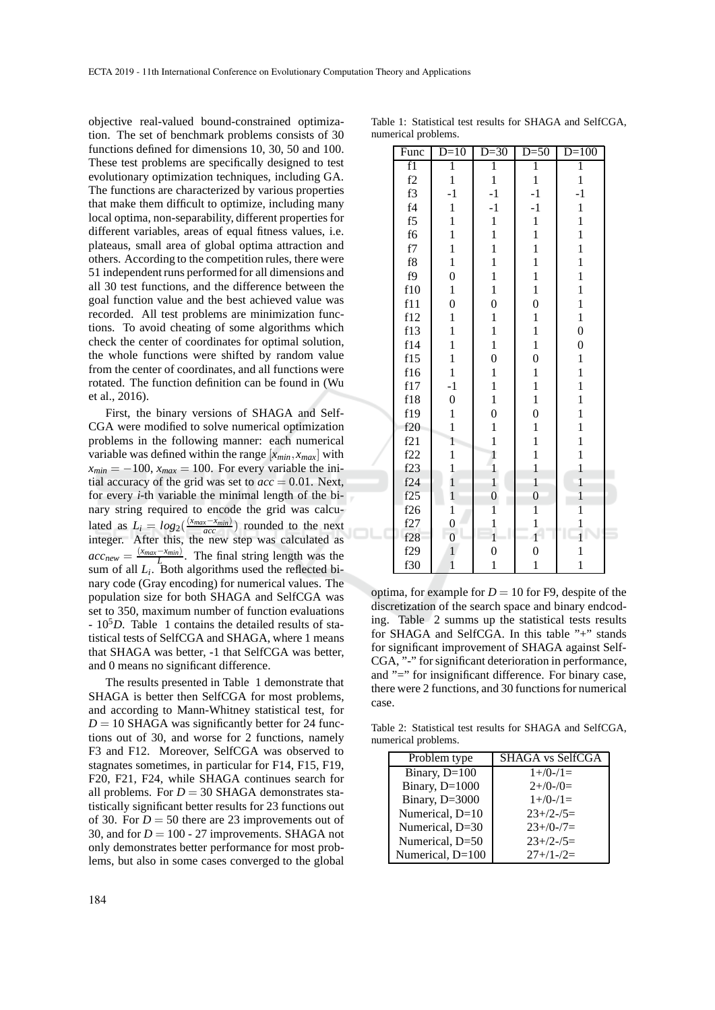objective real-valued bound-constrained optimization. The set of benchmark problems consists of 30 functions defined for dimensions 10, 30, 50 and 100. These test problems are specifically designed to test evolutionary optimization techniques, including GA. The functions are characterized by various properties that make them difficult to optimize, including many local optima, non-separability, different properties for different variables, areas of equal fitness values, i.e. plateaus, small area of global optima attraction and others. According to the competition rules, there were 51 independent runs performed for all dimensions and all 30 test functions, and the difference between the goal function value and the best achieved value was recorded. All test problems are minimization functions. To avoid cheating of some algorithms which check the center of coordinates for optimal solution, the whole functions were shifted by random value from the center of coordinates, and all functions were rotated. The function definition can be found in (Wu et al., 2016).

First, the binary versions of SHAGA and Self-CGA were modified to solve numerical optimization problems in the following manner: each numerical variable was defined within the range  $[x_{min}, x_{max}]$  with  $x_{min} = -100$ ,  $x_{max} = 100$ . For every variable the initial accuracy of the grid was set to  $acc = 0.01$ . Next, for every *i*-th variable the minimal length of the binary string required to encode the grid was calculated as  $L_i = log_2(\frac{(x_{max} - x_{min})}{acc})$  rounded to the next integer. After this, the new step was calculated as  $acc_{new} = \frac{(x_{max} - x_{min})}{L}$ . The final string length was the sum of all  $L_i$ . Both algorithms used the reflected binary code (Gray encoding) for numerical values. The population size for both SHAGA and SelfCGA was set to 350, maximum number of function evaluations - 10<sup>5</sup>D. Table 1 contains the detailed results of statistical tests of SelfCGA and SHAGA, where 1 means that SHAGA was better, -1 that SelfCGA was better, and 0 means no significant difference.

The results presented in Table 1 demonstrate that SHAGA is better then SelfCGA for most problems, and according to Mann-Whitney statistical test, for  $D = 10$  SHAGA was significantly better for 24 functions out of 30, and worse for 2 functions, namely F3 and F12. Moreover, SelfCGA was observed to stagnates sometimes, in particular for F14, F15, F19, F20, F21, F24, while SHAGA continues search for all problems. For  $D = 30$  SHAGA demonstrates statistically significant better results for 23 functions out of 30. For  $D = 50$  there are 23 improvements out of 30, and for  $D = 100 - 27$  improvements. SHAGA not only demonstrates better performance for most problems, but also in some cases converged to the global

| Func       | $D=10$           | $D=30$           | $D=50$           | $D=100$          |  |
|------------|------------------|------------------|------------------|------------------|--|
| f1         | $\overline{1}$   | Ī                | Ī                | $\overline{1}$   |  |
| f2         | $\mathbf{1}$     | $\mathbf{1}$     | $\mathbf{1}$     | $\,1$            |  |
| f3         | $-1$             | $-1$             | $-1$             | $-1$             |  |
| f4         | $\mathbf{1}$     | $-1$             | $-1$             | $\mathbf{1}$     |  |
| f5         | $\mathbf{1}$     | $\,1$            | $\mathbf{1}$     | $\mathbf 1$      |  |
| f6         | $\mathbf{1}$     | $\mathbf{1}$     | $\mathbf{1}$     | $\mathbf{1}$     |  |
| ${\rm f}7$ | $\mathbf{1}$     | $\mathbf{1}$     | $\mathbf{1}$     | $\mathbf{1}$     |  |
| f8         | $\mathbf{1}$     | $\mathbf{1}$     | $\mathbf{1}$     | $\mathbf 1$      |  |
| f9         | $\overline{0}$   | $\mathbf{1}$     | $\mathbf{1}$     | $\mathbf{1}$     |  |
| f10        | $\mathbf{1}$     | $\mathbf{1}$     | $\mathbf{1}$     | $\mathbf{1}$     |  |
| f11        | $\overline{0}$   | $\overline{0}$   | $\boldsymbol{0}$ | $\mathbf{1}$     |  |
| f12        | $\mathbf{1}$     | $\mathbf 1$      | $\mathbf{1}$     | $\mathbf{1}$     |  |
| f13        | $\mathbf{1}$     | $\mathbf 1$      | $\mathbf{1}$     | $\overline{0}$   |  |
| f14        | $\mathbf{1}$     | $\mathbf{1}$     | $\mathbf{1}$     | $\boldsymbol{0}$ |  |
| f15        | $\mathbf{1}$     | $\overline{0}$   | $\overline{0}$   | $\mathbf{1}$     |  |
| f16        | $\mathbf{1}$     | $\mathbf{1}$     | $\mathbf{1}$     | $\,1$            |  |
| f17        | $-1$             | $\mathbf 1$      | $\mathbf{1}$     | $\mathbf 1$      |  |
| f18        | $\boldsymbol{0}$ | $\mathbf{1}$     | $\mathbf{1}$     | $\mathbf{1}$     |  |
| f19        | $\mathbf{1}$     | $\overline{0}$   | $\overline{0}$   | $\mathbf{1}$     |  |
| f20        | $\mathbf{1}$     | $\mathbf 1$      | $\mathbf{1}$     | $\mathbf{1}$     |  |
| f21        | $\mathbf{1}$     | $\mathbf{1}$     | $\mathbf{1}$     | $\mathbf{1}$     |  |
| f22        | $\mathbf{1}$     | $\mathbf{1}$     | $\mathbf{1}$     | $\mathbf{1}$     |  |
| f23        | $\mathbf{1}$     | $\mathbf{1}$     | $\mathbf{1}$     | $\mathbf{1}$     |  |
| f24        | $\mathbf{1}$     | $\mathbf{1}$     | $\mathbf{1}$     | $\overline{1}$   |  |
| f25        | $\mathbf{1}$     | $\boldsymbol{0}$ | $\overline{0}$   | $\mathbf{1}$     |  |
| f26        | $\mathbf{1}$     | $\mathbf{1}$     | 1                | $\overline{1}$   |  |
| f27        | $\overline{0}$   | $\mathbf{1}$     | $\mathbf{1}$     | 1                |  |
| f28        | $\overline{0}$   | $\mathbf{1}$     | $1^{\circ}$      | $\mathbf{1}$     |  |
| f29        | $\mathbf{1}$     | $\boldsymbol{0}$ | $\overline{0}$   | $\mathbf{1}$     |  |
| f30        | $\mathbf{1}$     | $\mathbf{1}$     | $\mathbf{1}$     | $\mathbf 1$      |  |

Table 1: Statistical test results for SHAGA and SelfCGA, numerical problems.

optima, for example for  $D = 10$  for F9, despite of the discretization of the search space and binary endcoding. Table 2 summs up the statistical tests results for SHAGA and SelfCGA. In this table "+" stands for significant improvement of SHAGA against Self-CGA, "-" for significant deterioration in performance, and "=" for insignificant difference. For binary case, there were 2 functions, and 30 functions for numerical case.

Table 2: Statistical test results for SHAGA and SelfCGA, numerical problems.

| Problem type     | <b>SHAGA</b> vs SelfCGA |  |  |
|------------------|-------------------------|--|--|
| Binary, $D=100$  | $1 + / 0 - / 1 =$       |  |  |
| Binary, D=1000   | $2+/0-$ /0=             |  |  |
| Binary, D=3000   | $1+/0-1=$               |  |  |
| Numerical, D=10  | $23+/2-/5=$             |  |  |
| Numerical, D=30  | $23+/0-7=$              |  |  |
| Numerical, D=50  | $23+/2-/5=$             |  |  |
| Numerical, D=100 | $27+1-2=$               |  |  |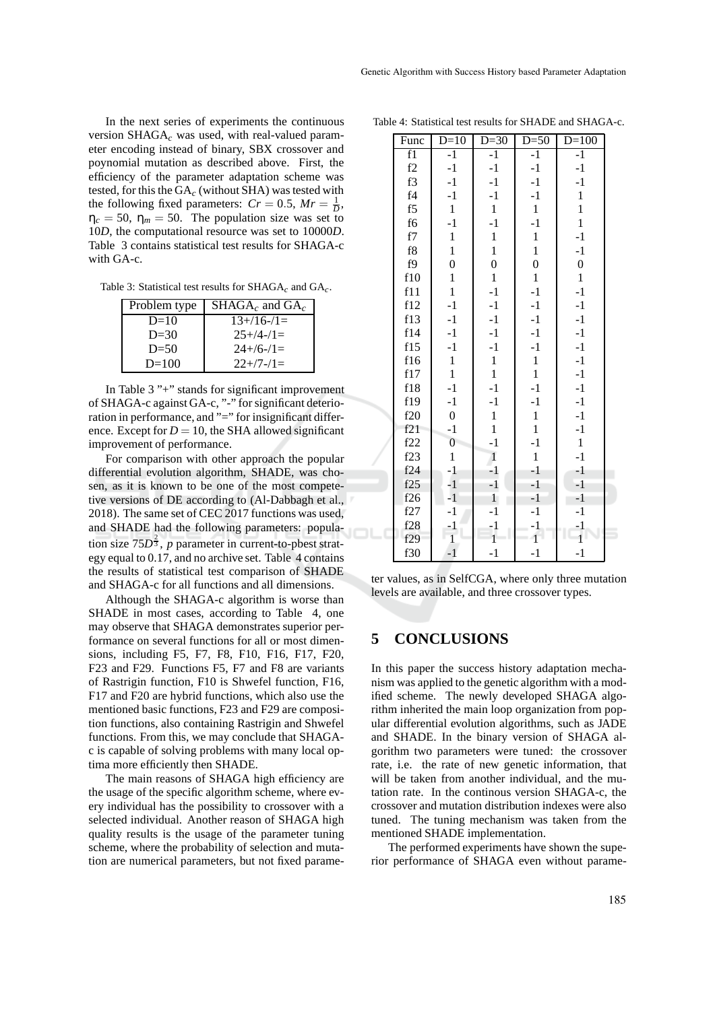In the next series of experiments the continuous version SHAGA*<sup>c</sup>* was used, with real-valued parameter encoding instead of binary, SBX crossover and poynomial mutation as described above. First, the efficiency of the parameter adaptation scheme was tested, for this the GA*<sup>c</sup>* (without SHA) was tested with the following fixed parameters:  $Cr = 0.5$ ,  $Mr = \frac{1}{D}$ ,  $\eta_c = 50$ ,  $\eta_m = 50$ . The population size was set to 10*D*, the computational resource was set to 10000*D*. Table 3 contains statistical test results for SHAGA-c with GA-c.

Table 3: Statistical test results for SHAGA*c* and GA*c*.

| Problem type | $SHAGAc$ and $GAc$ |
|--------------|--------------------|
| $D=10$       | $13+16-1 =$        |
| $D=30$       | $25+/4-/1=$        |
| $D=50$       | $24+76-71=$        |
| $D=100$      | $22+7-7=$          |

In Table 3 "+" stands for significant improvement of SHAGA-c against GA-c, "-" for significant deterioration in performance, and "=" for insignificant difference. Except for  $D = 10$ , the SHA allowed significant improvement of performance.

For comparison with other approach the popular differential evolution algorithm, SHADE, was chosen, as it is known to be one of the most competetive versions of DE according to (Al-Dabbagh et al., 2018). The same set of CEC 2017 functions was used, and SHADE had the following parameters: population size  $75D^{\frac{2}{3}}$ , *p* parameter in current-to-pbest strategy equal to 0.17, and no archive set. Table 4 contains the results of statistical test comparison of SHADE and SHAGA-c for all functions and all dimensions.

Although the SHAGA-c algorithm is worse than SHADE in most cases, according to Table 4, one may observe that SHAGA demonstrates superior performance on several functions for all or most dimensions, including F5, F7, F8, F10, F16, F17, F20, F23 and F29. Functions F5, F7 and F8 are variants of Rastrigin function, F10 is Shwefel function, F16, F17 and F20 are hybrid functions, which also use the mentioned basic functions, F23 and F29 are composition functions, also containing Rastrigin and Shwefel functions. From this, we may conclude that SHAGAc is capable of solving problems with many local optima more efficiently then SHADE.

The main reasons of SHAGA high efficiency are the usage of the specific algorithm scheme, where every individual has the possibility to crossover with a selected individual. Another reason of SHAGA high quality results is the usage of the parameter tuning scheme, where the probability of selection and mutation are numerical parameters, but not fixed parame-

| Func       | $D=10$           | $D=30$           | $D=50$           | $D=100$          |  |
|------------|------------------|------------------|------------------|------------------|--|
| f1         | $-1$             | $-1$             | $-1$             | $-1$             |  |
| f2         | $-1$             | $-1$             | $-1$             | $-1$             |  |
| f3         | $-1$             | $-1$             | $-1$             | $-1$             |  |
| f4         | $-1$             | $-1$             | $-1$             | $\mathbf{1}$     |  |
| f5         | $\mathbf{1}$     | $\mathbf{1}$     | $\mathbf{1}$     | $\mathbf{1}$     |  |
| f6         | $-1$             | $-1$             | $-1$             | $\mathbf{1}$     |  |
| ${\rm f}7$ | $\,1$            | $\mathbf{1}$     | $\mathbf{1}$     | $-1$             |  |
| f8         | $\mathbf{1}$     | $\mathbf{1}$     | $\mathbf{1}$     | $^{\rm -1}$      |  |
| f9         | $\overline{0}$   | $\boldsymbol{0}$ | $\boldsymbol{0}$ | $\boldsymbol{0}$ |  |
| f10        | $\mathbf{1}$     | $\mathbf{1}$     | $\mathbf{1}$     | $\mathbf{1}$     |  |
| f11        | $\mathbf{1}$     | $-1$             | $-1$             | $-1$             |  |
| f12        | $-1$             | $-1$             | $-1$             | $-1$             |  |
| f13        | $-1$             | $-1$             | $-1$             | $-1$             |  |
| f14        | $-1$             | $-1$             | $-1$             | $-1$             |  |
| f15        | $-1$             | $-1$             | $-1$             | $-1$             |  |
| f16        | $\mathbf{1}$     | $\mathbf{1}$     | $\mathbf{1}$     | $-1$             |  |
| f17        | $\mathbf{1}$     | $\mathbf{1}$     | $\mathbf{1}$     | $-1$             |  |
| f18        | $-1$             | $-1$             | $-1$             | $-1$             |  |
| f19        | $-1$             | $-1$             | $-1$             | $-1$             |  |
| f20        | $\boldsymbol{0}$ | $\mathbf{1}$     | $\mathbf{1}$     | $-1$             |  |
| f21        | $-1$             | $\mathbf{1}$     | $\mathbf{1}$     | $-1$             |  |
| f22        | $\boldsymbol{0}$ | $-1$             | $-1$             | $\mathbf{1}$     |  |
| f23        | $\mathbf{1}$     | $\mathbf{1}$     | $\mathbf{1}$     | $-1$             |  |
| f24        | $-1$             | $-1$             | $-1$             | $-1$             |  |
| f25        | $-1$             | $-1$             | $-1$             | $-1$             |  |
| f26        | $-1$             | $\mathbf{1}$     | $-1$             | $-1$             |  |
| f27        | $-1$             | $-1$             | $-1$             | $-1$             |  |
| f28        | $-1$             | $-1$<br>I        | $-1$             | $-1$             |  |
| f29        | $\overline{1}$   | $\mathbf{1}$     | $1^{-}$          | $\mathbf{1}$     |  |
| f30        | $-1$             | $-1$             | $-1$             | $-1$             |  |

Table 4: Statistical test results for SHADE and SHAGA-c.

ter values, as in SelfCGA, where only three mutation levels are available, and three crossover types.

#### **5 CONCLUSIONS**

In this paper the success history adaptation mechanism was applied to the genetic algorithm with a modified scheme. The newly developed SHAGA algorithm inherited the main loop organization from popular differential evolution algorithms, such as JADE and SHADE. In the binary version of SHAGA algorithm two parameters were tuned: the crossover rate, i.e. the rate of new genetic information, that will be taken from another individual, and the mutation rate. In the continous version SHAGA-c, the crossover and mutation distribution indexes were also tuned. The tuning mechanism was taken from the mentioned SHADE implementation.

The performed experiments have shown the superior performance of SHAGA even without parame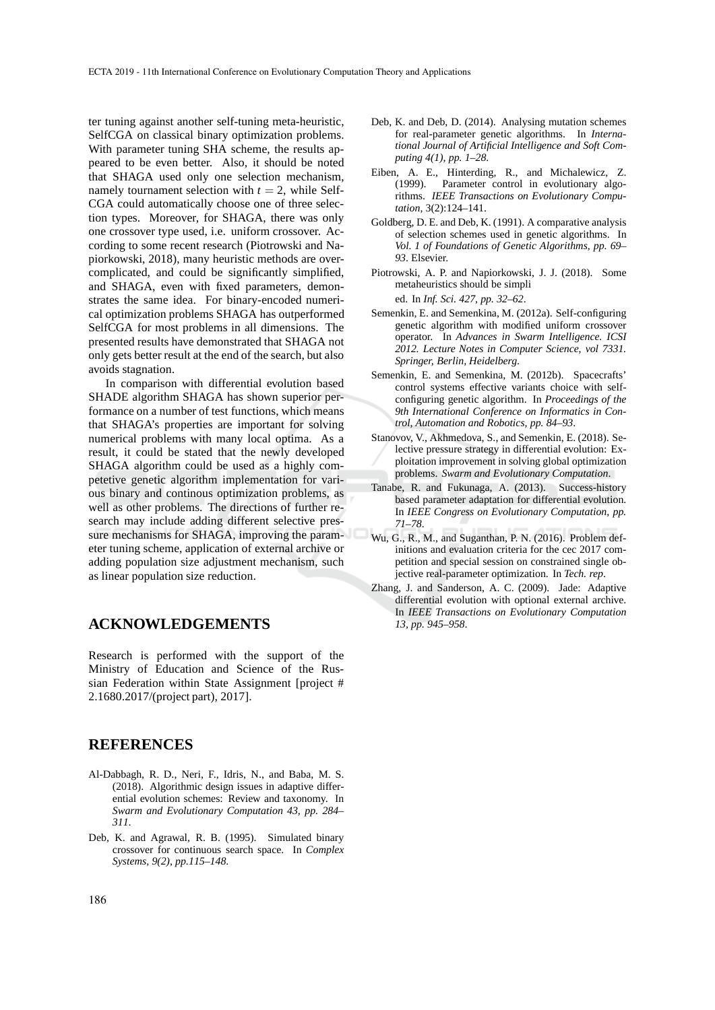ter tuning against another self-tuning meta-heuristic, SelfCGA on classical binary optimization problems. With parameter tuning SHA scheme, the results appeared to be even better. Also, it should be noted that SHAGA used only one selection mechanism, namely tournament selection with  $t = 2$ , while Self-CGA could automatically choose one of three selection types. Moreover, for SHAGA, there was only one crossover type used, i.e. uniform crossover. According to some recent research (Piotrowski and Napiorkowski, 2018), many heuristic methods are overcomplicated, and could be significantly simplified, and SHAGA, even with fixed parameters, demonstrates the same idea. For binary-encoded numerical optimization problems SHAGA has outperformed SelfCGA for most problems in all dimensions. The presented results have demonstrated that SHAGA not only gets better result at the end of the search, but also avoids stagnation.

In comparison with differential evolution based SHADE algorithm SHAGA has shown superior performance on a number of test functions, which means that SHAGA's properties are important for solving numerical problems with many local optima. As a result, it could be stated that the newly developed SHAGA algorithm could be used as a highly competetive genetic algorithm implementation for various binary and continous optimization problems, as well as other problems. The directions of further research may include adding different selective pressure mechanisms for SHAGA, improving the parameter tuning scheme, application of external archive or adding population size adjustment mechanism, such as linear population size reduction.

#### **ACKNOWLEDGEMENTS**

Research is performed with the support of the Ministry of Education and Science of the Russian Federation within State Assignment [project # 2.1680.2017/(project part), 2017].

#### **REFERENCES**

- Al-Dabbagh, R. D., Neri, F., Idris, N., and Baba, M. S. (2018). Algorithmic design issues in adaptive differential evolution schemes: Review and taxonomy. In *Swarm and Evolutionary Computation 43, pp. 284– 311*.
- Deb, K. and Agrawal, R. B. (1995). Simulated binary crossover for continuous search space. In *Complex Systems, 9(2), pp.115–148*.
- Deb, K. and Deb, D. (2014). Analysing mutation schemes for real-parameter genetic algorithms. In *International Journal of Artificial Intelligence and Soft Computing 4(1), pp. 1–28*.
- Eiben, A. E., Hinterding, R., and Michalewicz, Z. (1999). Parameter control in evolutionary algorithms. *IEEE Transactions on Evolutionary Computation*, 3(2):124–141.
- Goldberg, D. E. and Deb, K. (1991). A comparative analysis of selection schemes used in genetic algorithms. In *Vol. 1 of Foundations of Genetic Algorithms, pp. 69– 93*. Elsevier.
- Piotrowski, A. P. and Napiorkowski, J. J. (2018). Some metaheuristics should be simpli ed. In *Inf. Sci. 427, pp. 32–62*.
- Semenkin, E. and Semenkina, M. (2012a). Self-configuring genetic algorithm with modified uniform crossover operator. In *Advances in Swarm Intelligence. ICSI 2012. Lecture Notes in Computer Science, vol 7331. Springer, Berlin, Heidelberg*.
- Semenkin, E. and Semenkina, M. (2012b). Spacecrafts' control systems effective variants choice with selfconfiguring genetic algorithm. In *Proceedings of the 9th International Conference on Informatics in Control, Automation and Robotics, pp. 84–93*.
- Stanovov, V., Akhmedova, S., and Semenkin, E. (2018). Selective pressure strategy in differential evolution: Exploitation improvement in solving global optimization problems. *Swarm and Evolutionary Computation*.
- Tanabe, R. and Fukunaga, A. (2013). Success-history based parameter adaptation for differential evolution. In *IEEE Congress on Evolutionary Computation, pp. 71–78*.
- Wu, G., R., M., and Suganthan, P. N. (2016). Problem definitions and evaluation criteria for the cec 2017 competition and special session on constrained single objective real-parameter optimization. In *Tech. rep*.
- Zhang, J. and Sanderson, A. C. (2009). Jade: Adaptive differential evolution with optional external archive. In *IEEE Transactions on Evolutionary Computation 13, pp. 945–958*.